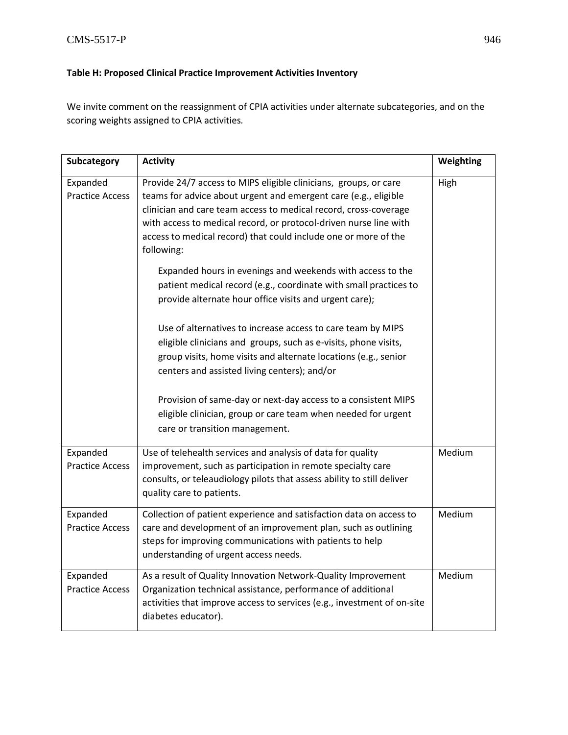## **Table H: Proposed Clinical Practice Improvement Activities Inventory**

We invite comment on the reassignment of CPIA activities under alternate subcategories, and on the scoring weights assigned to CPIA activities*.*

| Subcategory                        | <b>Activity</b>                                                                                                                                                                                                                                                                                                                                               | Weighting |
|------------------------------------|---------------------------------------------------------------------------------------------------------------------------------------------------------------------------------------------------------------------------------------------------------------------------------------------------------------------------------------------------------------|-----------|
| Expanded<br><b>Practice Access</b> | Provide 24/7 access to MIPS eligible clinicians, groups, or care<br>teams for advice about urgent and emergent care (e.g., eligible<br>clinician and care team access to medical record, cross-coverage<br>with access to medical record, or protocol-driven nurse line with<br>access to medical record) that could include one or more of the<br>following: | High      |
|                                    | Expanded hours in evenings and weekends with access to the<br>patient medical record (e.g., coordinate with small practices to<br>provide alternate hour office visits and urgent care);                                                                                                                                                                      |           |
|                                    | Use of alternatives to increase access to care team by MIPS<br>eligible clinicians and groups, such as e-visits, phone visits,<br>group visits, home visits and alternate locations (e.g., senior<br>centers and assisted living centers); and/or                                                                                                             |           |
|                                    | Provision of same-day or next-day access to a consistent MIPS<br>eligible clinician, group or care team when needed for urgent<br>care or transition management.                                                                                                                                                                                              |           |
| Expanded<br><b>Practice Access</b> | Use of telehealth services and analysis of data for quality<br>improvement, such as participation in remote specialty care<br>consults, or teleaudiology pilots that assess ability to still deliver<br>quality care to patients.                                                                                                                             | Medium    |
| Expanded<br><b>Practice Access</b> | Collection of patient experience and satisfaction data on access to<br>care and development of an improvement plan, such as outlining<br>steps for improving communications with patients to help<br>understanding of urgent access needs.                                                                                                                    | Medium    |
| Expanded<br><b>Practice Access</b> | As a result of Quality Innovation Network-Quality Improvement<br>Organization technical assistance, performance of additional<br>activities that improve access to services (e.g., investment of on-site<br>diabetes educator).                                                                                                                               | Medium    |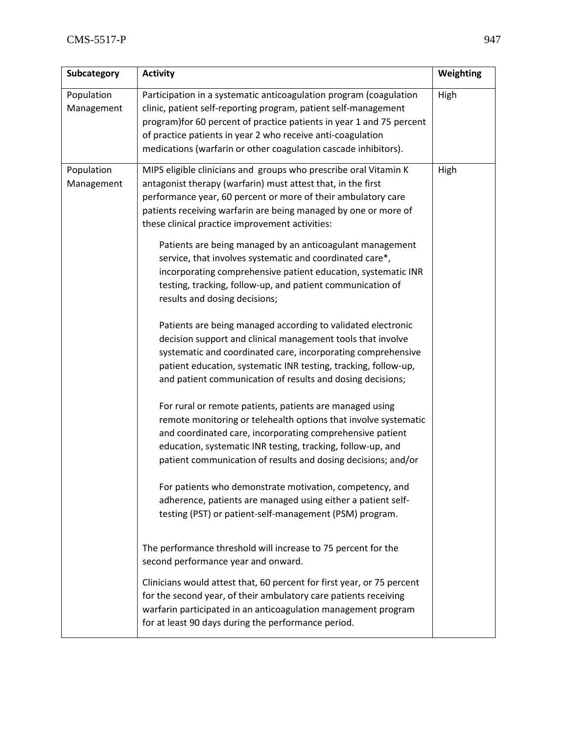| Subcategory              | <b>Activity</b>                                                                                                                                                                                                                                                                                                                                                                                                                                                                                                                                                                                                                                                                                                                                                                                                                                                                                                                                                                                                                                                                                                                                                                                                                                                                                                                                                                                                                                                                                                                                                                                                                                                                                                                                                                                                                                    | Weighting |
|--------------------------|----------------------------------------------------------------------------------------------------------------------------------------------------------------------------------------------------------------------------------------------------------------------------------------------------------------------------------------------------------------------------------------------------------------------------------------------------------------------------------------------------------------------------------------------------------------------------------------------------------------------------------------------------------------------------------------------------------------------------------------------------------------------------------------------------------------------------------------------------------------------------------------------------------------------------------------------------------------------------------------------------------------------------------------------------------------------------------------------------------------------------------------------------------------------------------------------------------------------------------------------------------------------------------------------------------------------------------------------------------------------------------------------------------------------------------------------------------------------------------------------------------------------------------------------------------------------------------------------------------------------------------------------------------------------------------------------------------------------------------------------------------------------------------------------------------------------------------------------------|-----------|
| Population<br>Management | Participation in a systematic anticoagulation program (coagulation<br>clinic, patient self-reporting program, patient self-management<br>program) for 60 percent of practice patients in year 1 and 75 percent<br>of practice patients in year 2 who receive anti-coagulation<br>medications (warfarin or other coagulation cascade inhibitors).                                                                                                                                                                                                                                                                                                                                                                                                                                                                                                                                                                                                                                                                                                                                                                                                                                                                                                                                                                                                                                                                                                                                                                                                                                                                                                                                                                                                                                                                                                   | High      |
| Population<br>Management | MIPS eligible clinicians and groups who prescribe oral Vitamin K<br>antagonist therapy (warfarin) must attest that, in the first<br>performance year, 60 percent or more of their ambulatory care<br>patients receiving warfarin are being managed by one or more of<br>these clinical practice improvement activities:<br>Patients are being managed by an anticoagulant management<br>service, that involves systematic and coordinated care*,<br>incorporating comprehensive patient education, systematic INR<br>testing, tracking, follow-up, and patient communication of<br>results and dosing decisions;<br>Patients are being managed according to validated electronic<br>decision support and clinical management tools that involve<br>systematic and coordinated care, incorporating comprehensive<br>patient education, systematic INR testing, tracking, follow-up,<br>and patient communication of results and dosing decisions;<br>For rural or remote patients, patients are managed using<br>remote monitoring or telehealth options that involve systematic<br>and coordinated care, incorporating comprehensive patient<br>education, systematic INR testing, tracking, follow-up, and<br>patient communication of results and dosing decisions; and/or<br>For patients who demonstrate motivation, competency, and<br>adherence, patients are managed using either a patient self-<br>testing (PST) or patient-self-management (PSM) program.<br>The performance threshold will increase to 75 percent for the<br>second performance year and onward.<br>Clinicians would attest that, 60 percent for first year, or 75 percent<br>for the second year, of their ambulatory care patients receiving<br>warfarin participated in an anticoagulation management program<br>for at least 90 days during the performance period. | High      |
|                          |                                                                                                                                                                                                                                                                                                                                                                                                                                                                                                                                                                                                                                                                                                                                                                                                                                                                                                                                                                                                                                                                                                                                                                                                                                                                                                                                                                                                                                                                                                                                                                                                                                                                                                                                                                                                                                                    |           |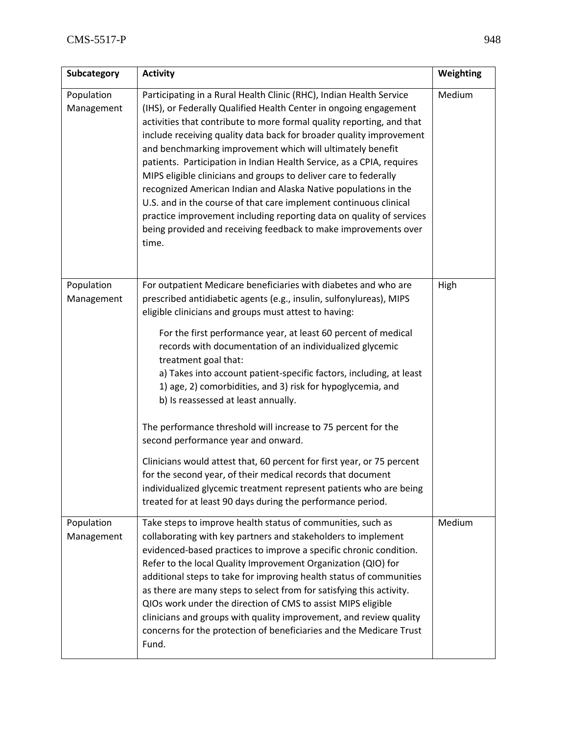| Subcategory              | <b>Activity</b>                                                                                                                                                                                                                                                                                                                                                                                                                                                                                                                                                                                                                                                                                                                                                                                 | Weighting |
|--------------------------|-------------------------------------------------------------------------------------------------------------------------------------------------------------------------------------------------------------------------------------------------------------------------------------------------------------------------------------------------------------------------------------------------------------------------------------------------------------------------------------------------------------------------------------------------------------------------------------------------------------------------------------------------------------------------------------------------------------------------------------------------------------------------------------------------|-----------|
| Population<br>Management | Participating in a Rural Health Clinic (RHC), Indian Health Service<br>(IHS), or Federally Qualified Health Center in ongoing engagement<br>activities that contribute to more formal quality reporting, and that<br>include receiving quality data back for broader quality improvement<br>and benchmarking improvement which will ultimately benefit<br>patients. Participation in Indian Health Service, as a CPIA, requires<br>MIPS eligible clinicians and groups to deliver care to federally<br>recognized American Indian and Alaska Native populations in the<br>U.S. and in the course of that care implement continuous clinical<br>practice improvement including reporting data on quality of services<br>being provided and receiving feedback to make improvements over<br>time. | Medium    |
| Population<br>Management | For outpatient Medicare beneficiaries with diabetes and who are<br>prescribed antidiabetic agents (e.g., insulin, sulfonylureas), MIPS<br>eligible clinicians and groups must attest to having:                                                                                                                                                                                                                                                                                                                                                                                                                                                                                                                                                                                                 | High      |
|                          | For the first performance year, at least 60 percent of medical<br>records with documentation of an individualized glycemic<br>treatment goal that:<br>a) Takes into account patient-specific factors, including, at least<br>1) age, 2) comorbidities, and 3) risk for hypoglycemia, and<br>b) Is reassessed at least annually.                                                                                                                                                                                                                                                                                                                                                                                                                                                                 |           |
|                          | The performance threshold will increase to 75 percent for the<br>second performance year and onward.                                                                                                                                                                                                                                                                                                                                                                                                                                                                                                                                                                                                                                                                                            |           |
|                          | Clinicians would attest that, 60 percent for first year, or 75 percent<br>for the second year, of their medical records that document<br>individualized glycemic treatment represent patients who are being<br>treated for at least 90 days during the performance period.                                                                                                                                                                                                                                                                                                                                                                                                                                                                                                                      |           |
| Population<br>Management | Take steps to improve health status of communities, such as<br>collaborating with key partners and stakeholders to implement<br>evidenced-based practices to improve a specific chronic condition.<br>Refer to the local Quality Improvement Organization (QIO) for<br>additional steps to take for improving health status of communities<br>as there are many steps to select from for satisfying this activity.<br>QIOs work under the direction of CMS to assist MIPS eligible<br>clinicians and groups with quality improvement, and review quality<br>concerns for the protection of beneficiaries and the Medicare Trust<br>Fund.                                                                                                                                                        | Medium    |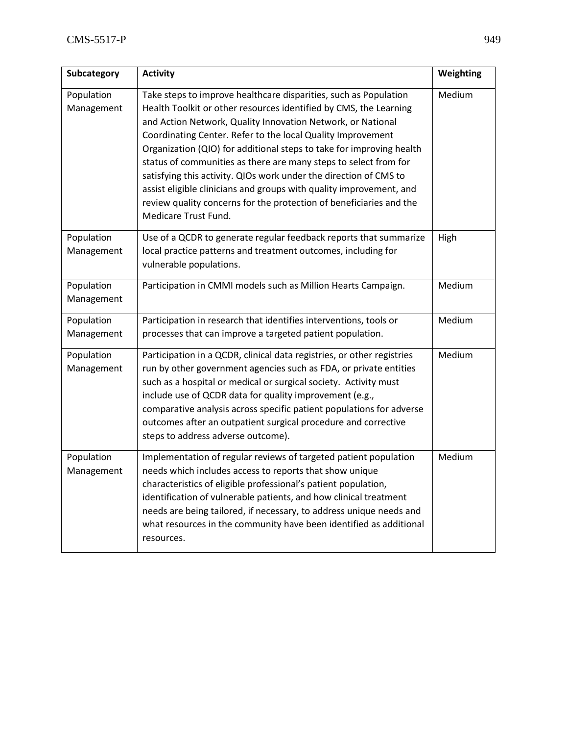| Subcategory              | <b>Activity</b>                                                                                                                                                                                                                                                                                                                                                                                                                                                                                                                                                                                                                                            | Weighting |
|--------------------------|------------------------------------------------------------------------------------------------------------------------------------------------------------------------------------------------------------------------------------------------------------------------------------------------------------------------------------------------------------------------------------------------------------------------------------------------------------------------------------------------------------------------------------------------------------------------------------------------------------------------------------------------------------|-----------|
| Population<br>Management | Take steps to improve healthcare disparities, such as Population<br>Health Toolkit or other resources identified by CMS, the Learning<br>and Action Network, Quality Innovation Network, or National<br>Coordinating Center. Refer to the local Quality Improvement<br>Organization (QIO) for additional steps to take for improving health<br>status of communities as there are many steps to select from for<br>satisfying this activity. QIOs work under the direction of CMS to<br>assist eligible clinicians and groups with quality improvement, and<br>review quality concerns for the protection of beneficiaries and the<br>Medicare Trust Fund. | Medium    |
| Population<br>Management | Use of a QCDR to generate regular feedback reports that summarize<br>local practice patterns and treatment outcomes, including for<br>vulnerable populations.                                                                                                                                                                                                                                                                                                                                                                                                                                                                                              | High      |
| Population<br>Management | Participation in CMMI models such as Million Hearts Campaign.                                                                                                                                                                                                                                                                                                                                                                                                                                                                                                                                                                                              | Medium    |
| Population<br>Management | Participation in research that identifies interventions, tools or<br>processes that can improve a targeted patient population.                                                                                                                                                                                                                                                                                                                                                                                                                                                                                                                             | Medium    |
| Population<br>Management | Participation in a QCDR, clinical data registries, or other registries<br>run by other government agencies such as FDA, or private entities<br>such as a hospital or medical or surgical society. Activity must<br>include use of QCDR data for quality improvement (e.g.,<br>comparative analysis across specific patient populations for adverse<br>outcomes after an outpatient surgical procedure and corrective<br>steps to address adverse outcome).                                                                                                                                                                                                 | Medium    |
| Population<br>Management | Implementation of regular reviews of targeted patient population<br>needs which includes access to reports that show unique<br>characteristics of eligible professional's patient population,<br>identification of vulnerable patients, and how clinical treatment<br>needs are being tailored, if necessary, to address unique needs and<br>what resources in the community have been identified as additional<br>resources.                                                                                                                                                                                                                              | Medium    |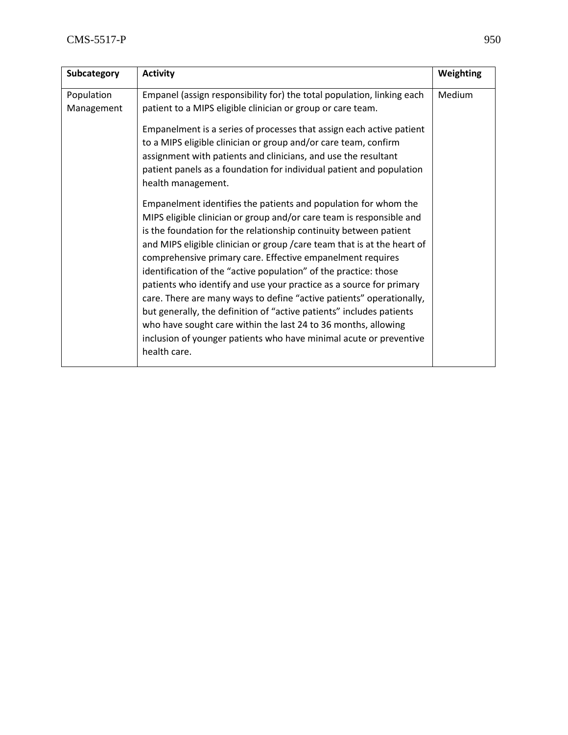| Empanel (assign responsibility for) the total population, linking each<br>Medium<br>Population<br>patient to a MIPS eligible clinician or group or care team.<br>Management<br>Empanelment is a series of processes that assign each active patient<br>to a MIPS eligible clinician or group and/or care team, confirm                                                                                                                                                                                                                                                                                                                                                                                                                                                                                                                                                                                                                                                    | Subcategory | <b>Activity</b> | Weighting |
|---------------------------------------------------------------------------------------------------------------------------------------------------------------------------------------------------------------------------------------------------------------------------------------------------------------------------------------------------------------------------------------------------------------------------------------------------------------------------------------------------------------------------------------------------------------------------------------------------------------------------------------------------------------------------------------------------------------------------------------------------------------------------------------------------------------------------------------------------------------------------------------------------------------------------------------------------------------------------|-------------|-----------------|-----------|
| assignment with patients and clinicians, and use the resultant<br>patient panels as a foundation for individual patient and population<br>health management.<br>Empanelment identifies the patients and population for whom the<br>MIPS eligible clinician or group and/or care team is responsible and<br>is the foundation for the relationship continuity between patient<br>and MIPS eligible clinician or group / care team that is at the heart of<br>comprehensive primary care. Effective empanelment requires<br>identification of the "active population" of the practice: those<br>patients who identify and use your practice as a source for primary<br>care. There are many ways to define "active patients" operationally,<br>but generally, the definition of "active patients" includes patients<br>who have sought care within the last 24 to 36 months, allowing<br>inclusion of younger patients who have minimal acute or preventive<br>health care. |             |                 |           |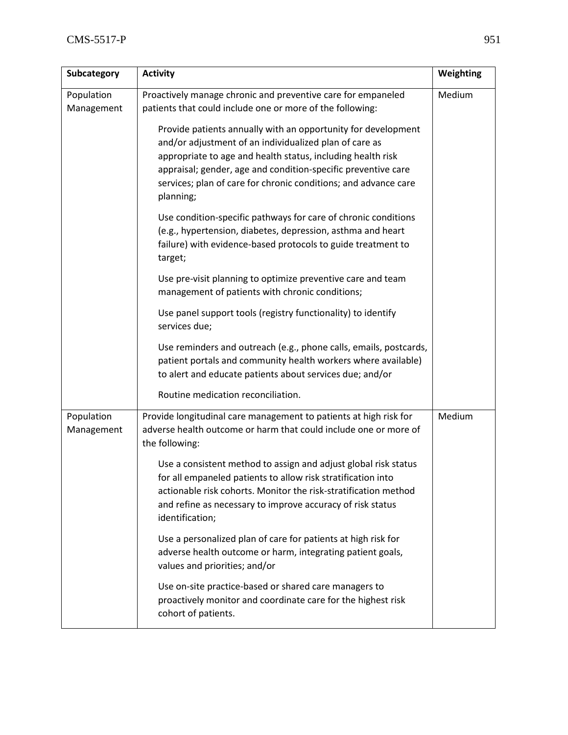| Subcategory              | <b>Activity</b>                                                                                                                                                                                                                                                                                                                         | Weighting |
|--------------------------|-----------------------------------------------------------------------------------------------------------------------------------------------------------------------------------------------------------------------------------------------------------------------------------------------------------------------------------------|-----------|
| Population<br>Management | Proactively manage chronic and preventive care for empaneled<br>patients that could include one or more of the following:                                                                                                                                                                                                               | Medium    |
|                          | Provide patients annually with an opportunity for development<br>and/or adjustment of an individualized plan of care as<br>appropriate to age and health status, including health risk<br>appraisal; gender, age and condition-specific preventive care<br>services; plan of care for chronic conditions; and advance care<br>planning; |           |
|                          | Use condition-specific pathways for care of chronic conditions<br>(e.g., hypertension, diabetes, depression, asthma and heart<br>failure) with evidence-based protocols to guide treatment to<br>target;                                                                                                                                |           |
|                          | Use pre-visit planning to optimize preventive care and team<br>management of patients with chronic conditions;                                                                                                                                                                                                                          |           |
|                          | Use panel support tools (registry functionality) to identify<br>services due;                                                                                                                                                                                                                                                           |           |
|                          | Use reminders and outreach (e.g., phone calls, emails, postcards,<br>patient portals and community health workers where available)<br>to alert and educate patients about services due; and/or                                                                                                                                          |           |
|                          | Routine medication reconciliation.                                                                                                                                                                                                                                                                                                      |           |
| Population<br>Management | Provide longitudinal care management to patients at high risk for<br>adverse health outcome or harm that could include one or more of<br>the following:                                                                                                                                                                                 | Medium    |
|                          | Use a consistent method to assign and adjust global risk status<br>for all empaneled patients to allow risk stratification into<br>actionable risk cohorts. Monitor the risk-stratification method<br>and refine as necessary to improve accuracy of risk status<br>identification;                                                     |           |
|                          | Use a personalized plan of care for patients at high risk for<br>adverse health outcome or harm, integrating patient goals,<br>values and priorities; and/or                                                                                                                                                                            |           |
|                          | Use on-site practice-based or shared care managers to<br>proactively monitor and coordinate care for the highest risk<br>cohort of patients.                                                                                                                                                                                            |           |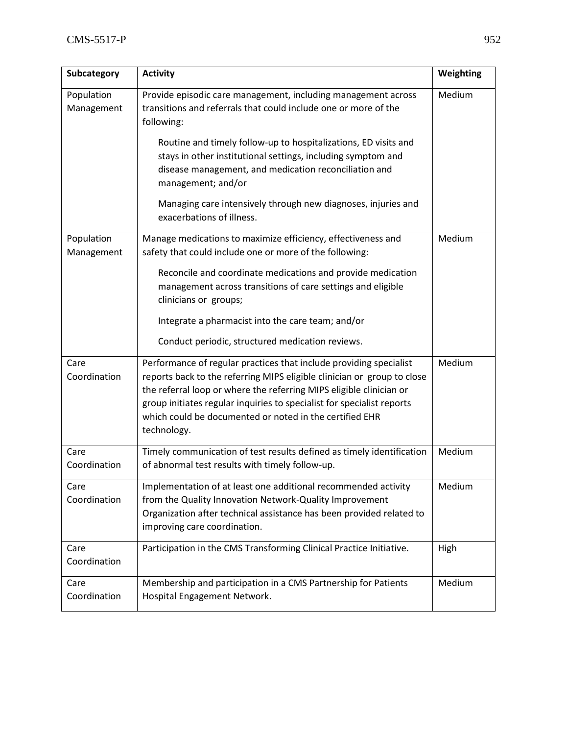| Subcategory              | <b>Activity</b>                                                                                                                                                                                                                                                                                                                                                          | Weighting |
|--------------------------|--------------------------------------------------------------------------------------------------------------------------------------------------------------------------------------------------------------------------------------------------------------------------------------------------------------------------------------------------------------------------|-----------|
| Population<br>Management | Provide episodic care management, including management across<br>transitions and referrals that could include one or more of the<br>following:                                                                                                                                                                                                                           | Medium    |
|                          | Routine and timely follow-up to hospitalizations, ED visits and<br>stays in other institutional settings, including symptom and<br>disease management, and medication reconciliation and<br>management; and/or                                                                                                                                                           |           |
|                          | Managing care intensively through new diagnoses, injuries and<br>exacerbations of illness.                                                                                                                                                                                                                                                                               |           |
| Population<br>Management | Manage medications to maximize efficiency, effectiveness and<br>safety that could include one or more of the following:                                                                                                                                                                                                                                                  | Medium    |
|                          | Reconcile and coordinate medications and provide medication<br>management across transitions of care settings and eligible<br>clinicians or groups;                                                                                                                                                                                                                      |           |
|                          | Integrate a pharmacist into the care team; and/or                                                                                                                                                                                                                                                                                                                        |           |
|                          | Conduct periodic, structured medication reviews.                                                                                                                                                                                                                                                                                                                         |           |
| Care<br>Coordination     | Performance of regular practices that include providing specialist<br>reports back to the referring MIPS eligible clinician or group to close<br>the referral loop or where the referring MIPS eligible clinician or<br>group initiates regular inquiries to specialist for specialist reports<br>which could be documented or noted in the certified EHR<br>technology. | Medium    |
| Care<br>Coordination     | Timely communication of test results defined as timely identification<br>of abnormal test results with timely follow-up.                                                                                                                                                                                                                                                 | Medium    |
| Care<br>Coordination     | Implementation of at least one additional recommended activity<br>from the Quality Innovation Network-Quality Improvement<br>Organization after technical assistance has been provided related to<br>improving care coordination.                                                                                                                                        | Medium    |
| Care<br>Coordination     | Participation in the CMS Transforming Clinical Practice Initiative.                                                                                                                                                                                                                                                                                                      | High      |
| Care<br>Coordination     | Membership and participation in a CMS Partnership for Patients<br>Hospital Engagement Network.                                                                                                                                                                                                                                                                           | Medium    |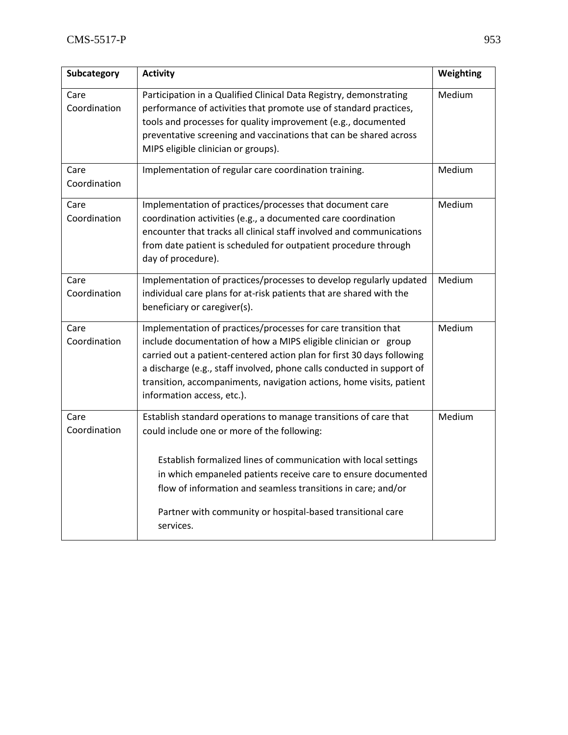| Subcategory          | <b>Activity</b>                                                                                                                                                                                                                                                                                                                                                                                | Weighting |
|----------------------|------------------------------------------------------------------------------------------------------------------------------------------------------------------------------------------------------------------------------------------------------------------------------------------------------------------------------------------------------------------------------------------------|-----------|
| Care<br>Coordination | Participation in a Qualified Clinical Data Registry, demonstrating<br>performance of activities that promote use of standard practices,<br>tools and processes for quality improvement (e.g., documented<br>preventative screening and vaccinations that can be shared across<br>MIPS eligible clinician or groups).                                                                           | Medium    |
| Care<br>Coordination | Implementation of regular care coordination training.                                                                                                                                                                                                                                                                                                                                          | Medium    |
| Care<br>Coordination | Implementation of practices/processes that document care<br>coordination activities (e.g., a documented care coordination<br>encounter that tracks all clinical staff involved and communications<br>from date patient is scheduled for outpatient procedure through<br>day of procedure).                                                                                                     | Medium    |
| Care<br>Coordination | Implementation of practices/processes to develop regularly updated<br>individual care plans for at-risk patients that are shared with the<br>beneficiary or caregiver(s).                                                                                                                                                                                                                      | Medium    |
| Care<br>Coordination | Implementation of practices/processes for care transition that<br>include documentation of how a MIPS eligible clinician or group<br>carried out a patient-centered action plan for first 30 days following<br>a discharge (e.g., staff involved, phone calls conducted in support of<br>transition, accompaniments, navigation actions, home visits, patient<br>information access, etc.).    | Medium    |
| Care<br>Coordination | Establish standard operations to manage transitions of care that<br>could include one or more of the following:<br>Establish formalized lines of communication with local settings<br>in which empaneled patients receive care to ensure documented<br>flow of information and seamless transitions in care; and/or<br>Partner with community or hospital-based transitional care<br>services. | Medium    |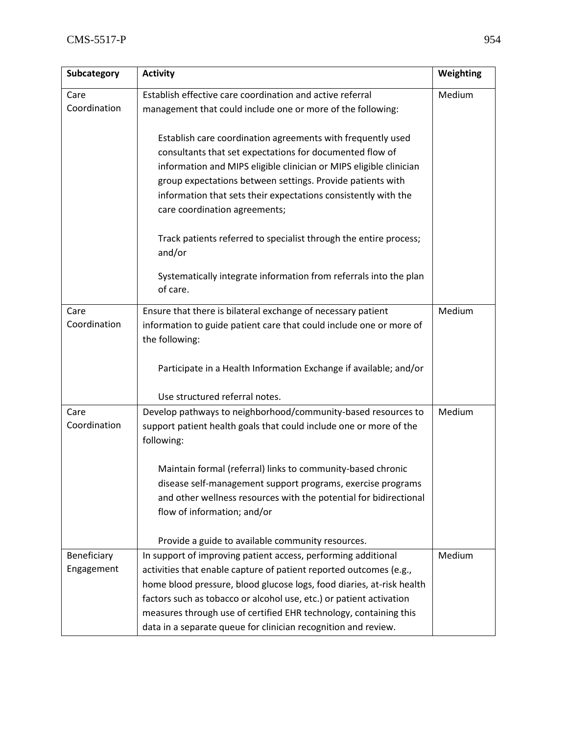| Subcategory          | <b>Activity</b>                                                                                                                                   | Weighting |
|----------------------|---------------------------------------------------------------------------------------------------------------------------------------------------|-----------|
| Care                 | Establish effective care coordination and active referral                                                                                         | Medium    |
| Coordination         | management that could include one or more of the following:                                                                                       |           |
|                      | Establish care coordination agreements with frequently used                                                                                       |           |
|                      | consultants that set expectations for documented flow of                                                                                          |           |
|                      | information and MIPS eligible clinician or MIPS eligible clinician                                                                                |           |
|                      | group expectations between settings. Provide patients with                                                                                        |           |
|                      | information that sets their expectations consistently with the                                                                                    |           |
|                      | care coordination agreements;                                                                                                                     |           |
|                      | Track patients referred to specialist through the entire process;<br>and/or                                                                       |           |
|                      | Systematically integrate information from referrals into the plan<br>of care.                                                                     |           |
| Care                 | Ensure that there is bilateral exchange of necessary patient                                                                                      | Medium    |
| Coordination         | information to guide patient care that could include one or more of                                                                               |           |
|                      | the following:                                                                                                                                    |           |
|                      | Participate in a Health Information Exchange if available; and/or                                                                                 |           |
|                      | Use structured referral notes.                                                                                                                    |           |
| Care<br>Coordination | Develop pathways to neighborhood/community-based resources to<br>support patient health goals that could include one or more of the<br>following: | Medium    |
|                      | Maintain formal (referral) links to community-based chronic                                                                                       |           |
|                      | disease self-management support programs, exercise programs                                                                                       |           |
|                      | and other wellness resources with the potential for bidirectional                                                                                 |           |
|                      | flow of information; and/or                                                                                                                       |           |
|                      | Provide a guide to available community resources.                                                                                                 |           |
| Beneficiary          | In support of improving patient access, performing additional                                                                                     | Medium    |
| Engagement           | activities that enable capture of patient reported outcomes (e.g.,                                                                                |           |
|                      | home blood pressure, blood glucose logs, food diaries, at-risk health                                                                             |           |
|                      | factors such as tobacco or alcohol use, etc.) or patient activation                                                                               |           |
|                      | measures through use of certified EHR technology, containing this                                                                                 |           |
|                      | data in a separate queue for clinician recognition and review.                                                                                    |           |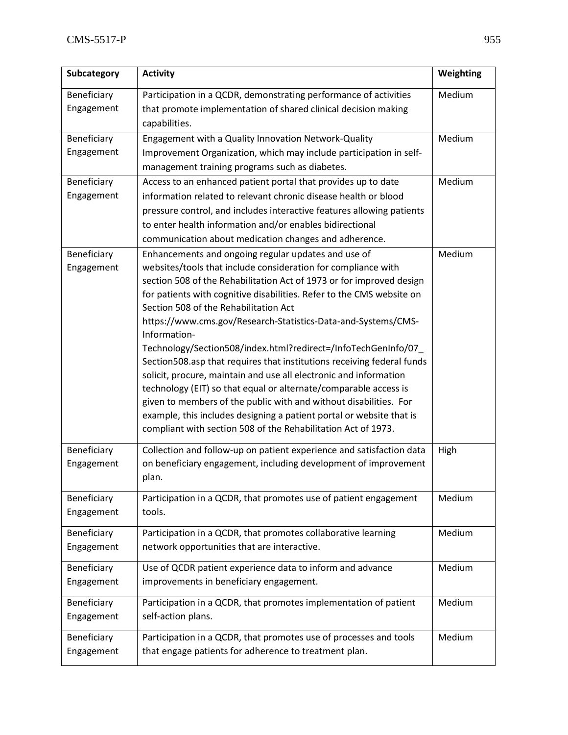| Subcategory               | <b>Activity</b>                                                                                                                                                                                                                                                                                                                                                                                                                                                                                                                                                                                                                                                                                                                                                                                                                                                                                    | Weighting |
|---------------------------|----------------------------------------------------------------------------------------------------------------------------------------------------------------------------------------------------------------------------------------------------------------------------------------------------------------------------------------------------------------------------------------------------------------------------------------------------------------------------------------------------------------------------------------------------------------------------------------------------------------------------------------------------------------------------------------------------------------------------------------------------------------------------------------------------------------------------------------------------------------------------------------------------|-----------|
| Beneficiary<br>Engagement | Participation in a QCDR, demonstrating performance of activities<br>that promote implementation of shared clinical decision making<br>capabilities.                                                                                                                                                                                                                                                                                                                                                                                                                                                                                                                                                                                                                                                                                                                                                | Medium    |
| Beneficiary               | Engagement with a Quality Innovation Network-Quality                                                                                                                                                                                                                                                                                                                                                                                                                                                                                                                                                                                                                                                                                                                                                                                                                                               | Medium    |
| Engagement                | Improvement Organization, which may include participation in self-                                                                                                                                                                                                                                                                                                                                                                                                                                                                                                                                                                                                                                                                                                                                                                                                                                 |           |
|                           | management training programs such as diabetes.                                                                                                                                                                                                                                                                                                                                                                                                                                                                                                                                                                                                                                                                                                                                                                                                                                                     |           |
| Beneficiary               | Access to an enhanced patient portal that provides up to date                                                                                                                                                                                                                                                                                                                                                                                                                                                                                                                                                                                                                                                                                                                                                                                                                                      | Medium    |
| Engagement                | information related to relevant chronic disease health or blood                                                                                                                                                                                                                                                                                                                                                                                                                                                                                                                                                                                                                                                                                                                                                                                                                                    |           |
|                           | pressure control, and includes interactive features allowing patients                                                                                                                                                                                                                                                                                                                                                                                                                                                                                                                                                                                                                                                                                                                                                                                                                              |           |
|                           | to enter health information and/or enables bidirectional                                                                                                                                                                                                                                                                                                                                                                                                                                                                                                                                                                                                                                                                                                                                                                                                                                           |           |
|                           | communication about medication changes and adherence.                                                                                                                                                                                                                                                                                                                                                                                                                                                                                                                                                                                                                                                                                                                                                                                                                                              |           |
| Beneficiary<br>Engagement | Enhancements and ongoing regular updates and use of<br>websites/tools that include consideration for compliance with<br>section 508 of the Rehabilitation Act of 1973 or for improved design<br>for patients with cognitive disabilities. Refer to the CMS website on<br>Section 508 of the Rehabilitation Act<br>https://www.cms.gov/Research-Statistics-Data-and-Systems/CMS-<br>Information-<br>Technology/Section508/index.html?redirect=/InfoTechGenInfo/07_<br>Section508.asp that requires that institutions receiving federal funds<br>solicit, procure, maintain and use all electronic and information<br>technology (EIT) so that equal or alternate/comparable access is<br>given to members of the public with and without disabilities. For<br>example, this includes designing a patient portal or website that is<br>compliant with section 508 of the Rehabilitation Act of 1973. | Medium    |
| Beneficiary<br>Engagement | Collection and follow-up on patient experience and satisfaction data<br>on beneficiary engagement, including development of improvement<br>plan.                                                                                                                                                                                                                                                                                                                                                                                                                                                                                                                                                                                                                                                                                                                                                   | High      |
| Beneficiary<br>Engagement | Participation in a QCDR, that promotes use of patient engagement<br>tools.                                                                                                                                                                                                                                                                                                                                                                                                                                                                                                                                                                                                                                                                                                                                                                                                                         | Medium    |
| Beneficiary<br>Engagement | Participation in a QCDR, that promotes collaborative learning<br>network opportunities that are interactive.                                                                                                                                                                                                                                                                                                                                                                                                                                                                                                                                                                                                                                                                                                                                                                                       | Medium    |
| Beneficiary<br>Engagement | Use of QCDR patient experience data to inform and advance<br>improvements in beneficiary engagement.                                                                                                                                                                                                                                                                                                                                                                                                                                                                                                                                                                                                                                                                                                                                                                                               | Medium    |
| Beneficiary<br>Engagement | Participation in a QCDR, that promotes implementation of patient<br>self-action plans.                                                                                                                                                                                                                                                                                                                                                                                                                                                                                                                                                                                                                                                                                                                                                                                                             | Medium    |
| Beneficiary<br>Engagement | Participation in a QCDR, that promotes use of processes and tools<br>that engage patients for adherence to treatment plan.                                                                                                                                                                                                                                                                                                                                                                                                                                                                                                                                                                                                                                                                                                                                                                         | Medium    |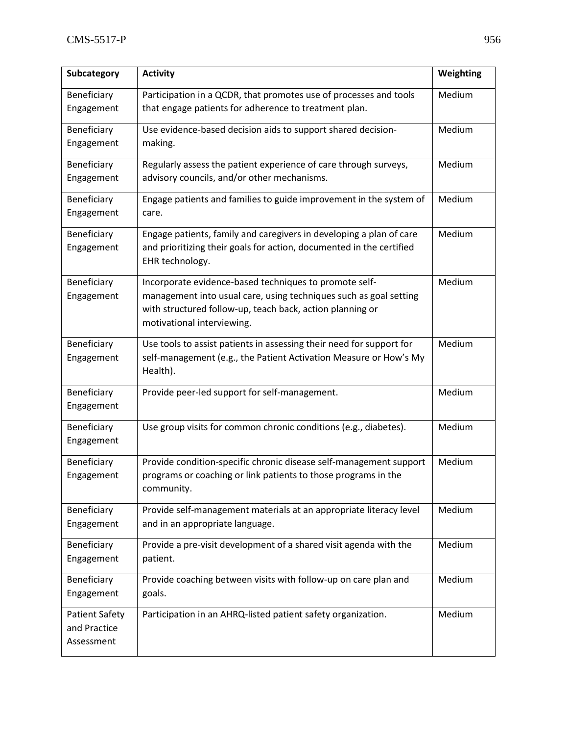| Subcategory                                         | <b>Activity</b>                                                                                                                                                                                                        | Weighting |
|-----------------------------------------------------|------------------------------------------------------------------------------------------------------------------------------------------------------------------------------------------------------------------------|-----------|
| Beneficiary<br>Engagement                           | Participation in a QCDR, that promotes use of processes and tools<br>that engage patients for adherence to treatment plan.                                                                                             | Medium    |
| Beneficiary<br>Engagement                           | Use evidence-based decision aids to support shared decision-<br>making.                                                                                                                                                | Medium    |
| Beneficiary<br>Engagement                           | Regularly assess the patient experience of care through surveys,<br>advisory councils, and/or other mechanisms.                                                                                                        | Medium    |
| Beneficiary<br>Engagement                           | Engage patients and families to guide improvement in the system of<br>care.                                                                                                                                            | Medium    |
| Beneficiary<br>Engagement                           | Engage patients, family and caregivers in developing a plan of care<br>and prioritizing their goals for action, documented in the certified<br>EHR technology.                                                         | Medium    |
| Beneficiary<br>Engagement                           | Incorporate evidence-based techniques to promote self-<br>management into usual care, using techniques such as goal setting<br>with structured follow-up, teach back, action planning or<br>motivational interviewing. | Medium    |
| Beneficiary<br>Engagement                           | Use tools to assist patients in assessing their need for support for<br>self-management (e.g., the Patient Activation Measure or How's My<br>Health).                                                                  | Medium    |
| Beneficiary<br>Engagement                           | Provide peer-led support for self-management.                                                                                                                                                                          | Medium    |
| Beneficiary<br>Engagement                           | Use group visits for common chronic conditions (e.g., diabetes).                                                                                                                                                       | Medium    |
| Beneficiary<br>Engagement                           | Provide condition-specific chronic disease self-management support<br>programs or coaching or link patients to those programs in the<br>community.                                                                     | Medium    |
| Beneficiary<br>Engagement                           | Provide self-management materials at an appropriate literacy level<br>and in an appropriate language.                                                                                                                  | Medium    |
| Beneficiary<br>Engagement                           | Provide a pre-visit development of a shared visit agenda with the<br>patient.                                                                                                                                          | Medium    |
| Beneficiary<br>Engagement                           | Provide coaching between visits with follow-up on care plan and<br>goals.                                                                                                                                              | Medium    |
| <b>Patient Safety</b><br>and Practice<br>Assessment | Participation in an AHRQ-listed patient safety organization.                                                                                                                                                           | Medium    |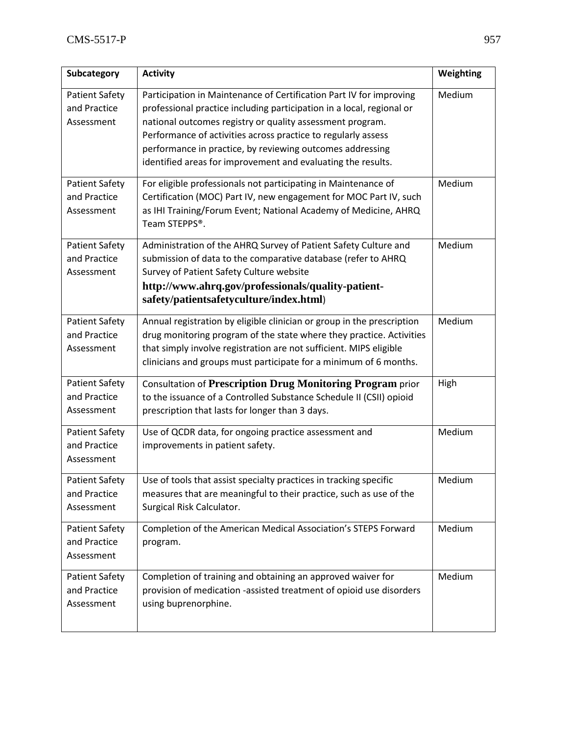| Subcategory                                         | <b>Activity</b>                                                                                                                                                                                                                                                                                                                                                                                         | Weighting |
|-----------------------------------------------------|---------------------------------------------------------------------------------------------------------------------------------------------------------------------------------------------------------------------------------------------------------------------------------------------------------------------------------------------------------------------------------------------------------|-----------|
| <b>Patient Safety</b><br>and Practice<br>Assessment | Participation in Maintenance of Certification Part IV for improving<br>professional practice including participation in a local, regional or<br>national outcomes registry or quality assessment program.<br>Performance of activities across practice to regularly assess<br>performance in practice, by reviewing outcomes addressing<br>identified areas for improvement and evaluating the results. | Medium    |
| <b>Patient Safety</b><br>and Practice<br>Assessment | For eligible professionals not participating in Maintenance of<br>Certification (MOC) Part IV, new engagement for MOC Part IV, such<br>as IHI Training/Forum Event; National Academy of Medicine, AHRQ<br>Team STEPPS®.                                                                                                                                                                                 | Medium    |
| <b>Patient Safety</b><br>and Practice<br>Assessment | Administration of the AHRQ Survey of Patient Safety Culture and<br>submission of data to the comparative database (refer to AHRQ<br>Survey of Patient Safety Culture website<br>http://www.ahrq.gov/professionals/quality-patient-<br>safety/patientsafetyculture/index.html)                                                                                                                           | Medium    |
| <b>Patient Safety</b><br>and Practice<br>Assessment | Annual registration by eligible clinician or group in the prescription<br>drug monitoring program of the state where they practice. Activities<br>that simply involve registration are not sufficient. MIPS eligible<br>clinicians and groups must participate for a minimum of 6 months.                                                                                                               | Medium    |
| <b>Patient Safety</b><br>and Practice<br>Assessment | Consultation of Prescription Drug Monitoring Program prior<br>to the issuance of a Controlled Substance Schedule II (CSII) opioid<br>prescription that lasts for longer than 3 days.                                                                                                                                                                                                                    | High      |
| <b>Patient Safety</b><br>and Practice<br>Assessment | Use of QCDR data, for ongoing practice assessment and<br>improvements in patient safety.                                                                                                                                                                                                                                                                                                                | Medium    |
| <b>Patient Safety</b><br>and Practice<br>Assessment | Use of tools that assist specialty practices in tracking specific<br>measures that are meaningful to their practice, such as use of the<br>Surgical Risk Calculator.                                                                                                                                                                                                                                    | Medium    |
| <b>Patient Safety</b><br>and Practice<br>Assessment | Completion of the American Medical Association's STEPS Forward<br>program.                                                                                                                                                                                                                                                                                                                              | Medium    |
| <b>Patient Safety</b><br>and Practice<br>Assessment | Completion of training and obtaining an approved waiver for<br>provision of medication -assisted treatment of opioid use disorders<br>using buprenorphine.                                                                                                                                                                                                                                              | Medium    |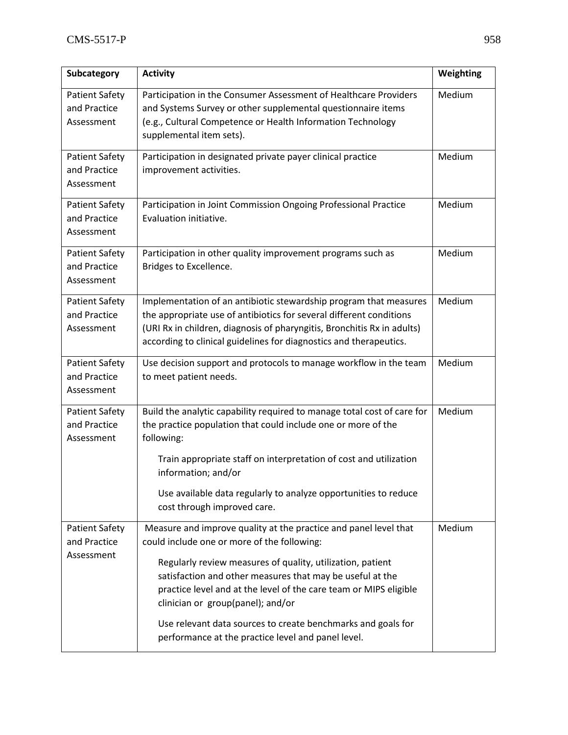| Subcategory                                         | <b>Activity</b>                                                                                                                                                                                                                                                                           | Weighting |
|-----------------------------------------------------|-------------------------------------------------------------------------------------------------------------------------------------------------------------------------------------------------------------------------------------------------------------------------------------------|-----------|
| <b>Patient Safety</b><br>and Practice<br>Assessment | Participation in the Consumer Assessment of Healthcare Providers<br>and Systems Survey or other supplemental questionnaire items<br>(e.g., Cultural Competence or Health Information Technology<br>supplemental item sets).                                                               | Medium    |
| <b>Patient Safety</b><br>and Practice<br>Assessment | Participation in designated private payer clinical practice<br>improvement activities.                                                                                                                                                                                                    | Medium    |
| <b>Patient Safety</b><br>and Practice<br>Assessment | Participation in Joint Commission Ongoing Professional Practice<br>Evaluation initiative.                                                                                                                                                                                                 | Medium    |
| <b>Patient Safety</b><br>and Practice<br>Assessment | Participation in other quality improvement programs such as<br>Bridges to Excellence.                                                                                                                                                                                                     | Medium    |
| <b>Patient Safety</b><br>and Practice<br>Assessment | Implementation of an antibiotic stewardship program that measures<br>the appropriate use of antibiotics for several different conditions<br>(URI Rx in children, diagnosis of pharyngitis, Bronchitis Rx in adults)<br>according to clinical guidelines for diagnostics and therapeutics. | Medium    |
| <b>Patient Safety</b><br>and Practice<br>Assessment | Use decision support and protocols to manage workflow in the team<br>to meet patient needs.                                                                                                                                                                                               | Medium    |
| <b>Patient Safety</b><br>and Practice<br>Assessment | Build the analytic capability required to manage total cost of care for<br>the practice population that could include one or more of the<br>following:<br>Train appropriate staff on interpretation of cost and utilization<br>information; and/or                                        | Medium    |
|                                                     | Use available data regularly to analyze opportunities to reduce<br>cost through improved care.                                                                                                                                                                                            |           |
| <b>Patient Safety</b><br>and Practice<br>Assessment | Measure and improve quality at the practice and panel level that<br>could include one or more of the following:                                                                                                                                                                           | Medium    |
|                                                     | Regularly review measures of quality, utilization, patient<br>satisfaction and other measures that may be useful at the<br>practice level and at the level of the care team or MIPS eligible<br>clinician or group(panel); and/or                                                         |           |
|                                                     | Use relevant data sources to create benchmarks and goals for<br>performance at the practice level and panel level.                                                                                                                                                                        |           |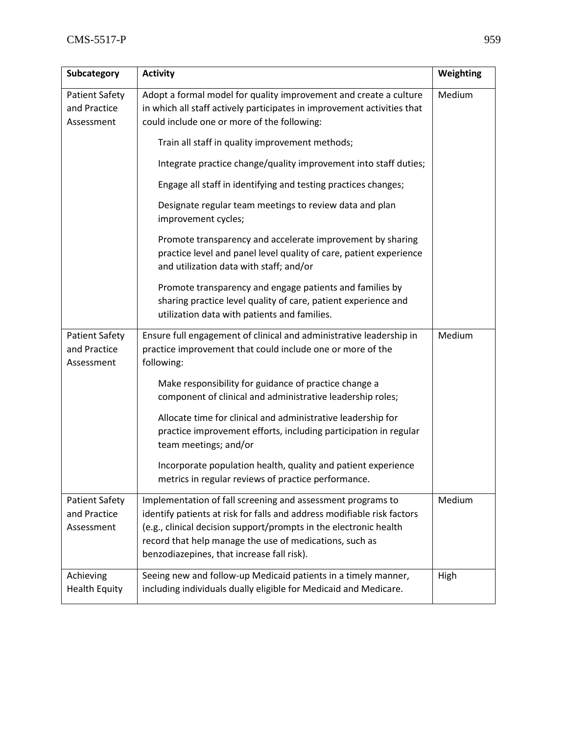| Subcategory                                         | <b>Activity</b>                                                                                                                                                                                                                                                                                                      | Weighting |
|-----------------------------------------------------|----------------------------------------------------------------------------------------------------------------------------------------------------------------------------------------------------------------------------------------------------------------------------------------------------------------------|-----------|
| <b>Patient Safety</b><br>and Practice<br>Assessment | Adopt a formal model for quality improvement and create a culture<br>in which all staff actively participates in improvement activities that<br>could include one or more of the following:                                                                                                                          | Medium    |
|                                                     | Train all staff in quality improvement methods;                                                                                                                                                                                                                                                                      |           |
|                                                     | Integrate practice change/quality improvement into staff duties;                                                                                                                                                                                                                                                     |           |
|                                                     | Engage all staff in identifying and testing practices changes;                                                                                                                                                                                                                                                       |           |
|                                                     | Designate regular team meetings to review data and plan<br>improvement cycles;                                                                                                                                                                                                                                       |           |
|                                                     | Promote transparency and accelerate improvement by sharing<br>practice level and panel level quality of care, patient experience<br>and utilization data with staff; and/or                                                                                                                                          |           |
|                                                     | Promote transparency and engage patients and families by<br>sharing practice level quality of care, patient experience and<br>utilization data with patients and families.                                                                                                                                           |           |
| <b>Patient Safety</b><br>and Practice<br>Assessment | Ensure full engagement of clinical and administrative leadership in<br>practice improvement that could include one or more of the<br>following:                                                                                                                                                                      | Medium    |
|                                                     | Make responsibility for guidance of practice change a<br>component of clinical and administrative leadership roles;                                                                                                                                                                                                  |           |
|                                                     | Allocate time for clinical and administrative leadership for<br>practice improvement efforts, including participation in regular<br>team meetings; and/or                                                                                                                                                            |           |
|                                                     | Incorporate population health, quality and patient experience<br>metrics in regular reviews of practice performance.                                                                                                                                                                                                 |           |
| <b>Patient Safety</b><br>and Practice<br>Assessment | Implementation of fall screening and assessment programs to<br>identify patients at risk for falls and address modifiable risk factors<br>(e.g., clinical decision support/prompts in the electronic health<br>record that help manage the use of medications, such as<br>benzodiazepines, that increase fall risk). | Medium    |
| Achieving<br><b>Health Equity</b>                   | Seeing new and follow-up Medicaid patients in a timely manner,<br>including individuals dually eligible for Medicaid and Medicare.                                                                                                                                                                                   | High      |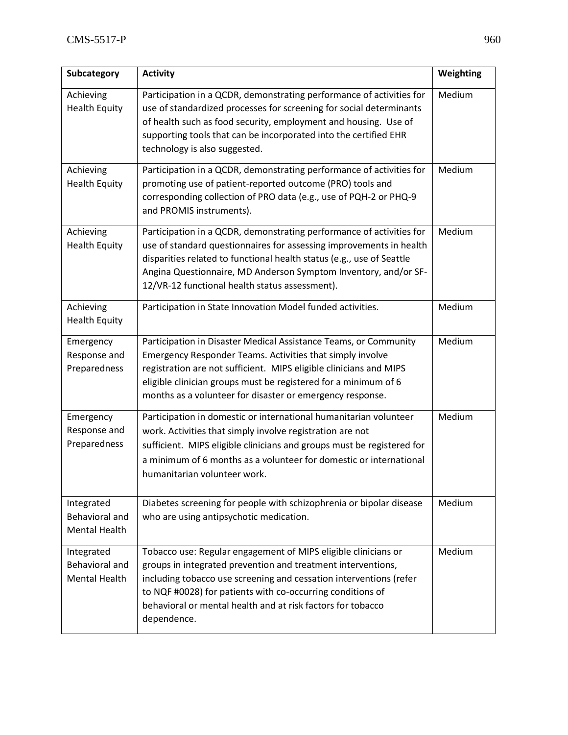| Subcategory                                                 | <b>Activity</b>                                                                                                                                                                                                                                                                                                                                  | Weighting |
|-------------------------------------------------------------|--------------------------------------------------------------------------------------------------------------------------------------------------------------------------------------------------------------------------------------------------------------------------------------------------------------------------------------------------|-----------|
| Achieving<br><b>Health Equity</b>                           | Participation in a QCDR, demonstrating performance of activities for<br>use of standardized processes for screening for social determinants<br>of health such as food security, employment and housing. Use of<br>supporting tools that can be incorporated into the certified EHR<br>technology is also suggested.                              | Medium    |
| Achieving<br><b>Health Equity</b>                           | Participation in a QCDR, demonstrating performance of activities for<br>promoting use of patient-reported outcome (PRO) tools and<br>corresponding collection of PRO data (e.g., use of PQH-2 or PHQ-9<br>and PROMIS instruments).                                                                                                               | Medium    |
| Achieving<br><b>Health Equity</b>                           | Participation in a QCDR, demonstrating performance of activities for<br>use of standard questionnaires for assessing improvements in health<br>disparities related to functional health status (e.g., use of Seattle<br>Angina Questionnaire, MD Anderson Symptom Inventory, and/or SF-<br>12/VR-12 functional health status assessment).        | Medium    |
| Achieving<br><b>Health Equity</b>                           | Participation in State Innovation Model funded activities.                                                                                                                                                                                                                                                                                       | Medium    |
| Emergency<br>Response and<br>Preparedness                   | Participation in Disaster Medical Assistance Teams, or Community<br>Emergency Responder Teams. Activities that simply involve<br>registration are not sufficient. MIPS eligible clinicians and MIPS<br>eligible clinician groups must be registered for a minimum of 6<br>months as a volunteer for disaster or emergency response.              | Medium    |
| Emergency<br>Response and<br>Preparedness                   | Participation in domestic or international humanitarian volunteer<br>work. Activities that simply involve registration are not<br>sufficient. MIPS eligible clinicians and groups must be registered for<br>a minimum of 6 months as a volunteer for domestic or international<br>humanitarian volunteer work.                                   | Medium    |
| Integrated<br>Behavioral and<br><b>Mental Health</b>        | Diabetes screening for people with schizophrenia or bipolar disease<br>who are using antipsychotic medication.                                                                                                                                                                                                                                   | Medium    |
| Integrated<br><b>Behavioral and</b><br><b>Mental Health</b> | Tobacco use: Regular engagement of MIPS eligible clinicians or<br>groups in integrated prevention and treatment interventions,<br>including tobacco use screening and cessation interventions (refer<br>to NQF #0028) for patients with co-occurring conditions of<br>behavioral or mental health and at risk factors for tobacco<br>dependence. | Medium    |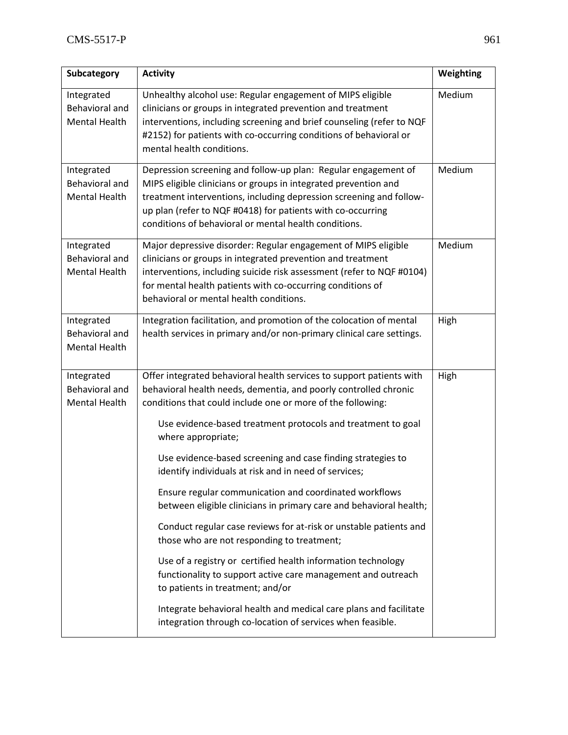| Subcategory                                                 | <b>Activity</b>                                                                                                                                                                                                                                                                                                                                                                                                                                                                                                                                                                                                                                                                                                                                                                                          | Weighting |
|-------------------------------------------------------------|----------------------------------------------------------------------------------------------------------------------------------------------------------------------------------------------------------------------------------------------------------------------------------------------------------------------------------------------------------------------------------------------------------------------------------------------------------------------------------------------------------------------------------------------------------------------------------------------------------------------------------------------------------------------------------------------------------------------------------------------------------------------------------------------------------|-----------|
| Integrated<br><b>Behavioral and</b><br>Mental Health        | Unhealthy alcohol use: Regular engagement of MIPS eligible<br>clinicians or groups in integrated prevention and treatment<br>interventions, including screening and brief counseling (refer to NQF<br>#2152) for patients with co-occurring conditions of behavioral or<br>mental health conditions.                                                                                                                                                                                                                                                                                                                                                                                                                                                                                                     | Medium    |
| Integrated<br><b>Behavioral and</b><br><b>Mental Health</b> | Depression screening and follow-up plan: Regular engagement of<br>MIPS eligible clinicians or groups in integrated prevention and<br>treatment interventions, including depression screening and follow-<br>up plan (refer to NQF #0418) for patients with co-occurring<br>conditions of behavioral or mental health conditions.                                                                                                                                                                                                                                                                                                                                                                                                                                                                         | Medium    |
| Integrated<br><b>Behavioral and</b><br><b>Mental Health</b> | Major depressive disorder: Regular engagement of MIPS eligible<br>clinicians or groups in integrated prevention and treatment<br>interventions, including suicide risk assessment (refer to NQF #0104)<br>for mental health patients with co-occurring conditions of<br>behavioral or mental health conditions.                                                                                                                                                                                                                                                                                                                                                                                                                                                                                          | Medium    |
| Integrated<br><b>Behavioral and</b><br><b>Mental Health</b> | Integration facilitation, and promotion of the colocation of mental<br>health services in primary and/or non-primary clinical care settings.                                                                                                                                                                                                                                                                                                                                                                                                                                                                                                                                                                                                                                                             | High      |
| Integrated<br><b>Behavioral and</b><br><b>Mental Health</b> | Offer integrated behavioral health services to support patients with<br>behavioral health needs, dementia, and poorly controlled chronic<br>conditions that could include one or more of the following:<br>Use evidence-based treatment protocols and treatment to goal<br>where appropriate;<br>Use evidence-based screening and case finding strategies to<br>identify individuals at risk and in need of services;<br>Ensure regular communication and coordinated workflows<br>between eligible clinicians in primary care and behavioral health;<br>Conduct regular case reviews for at-risk or unstable patients and<br>those who are not responding to treatment;<br>Use of a registry or certified health information technology<br>functionality to support active care management and outreach | High      |
|                                                             | to patients in treatment; and/or<br>Integrate behavioral health and medical care plans and facilitate<br>integration through co-location of services when feasible.                                                                                                                                                                                                                                                                                                                                                                                                                                                                                                                                                                                                                                      |           |